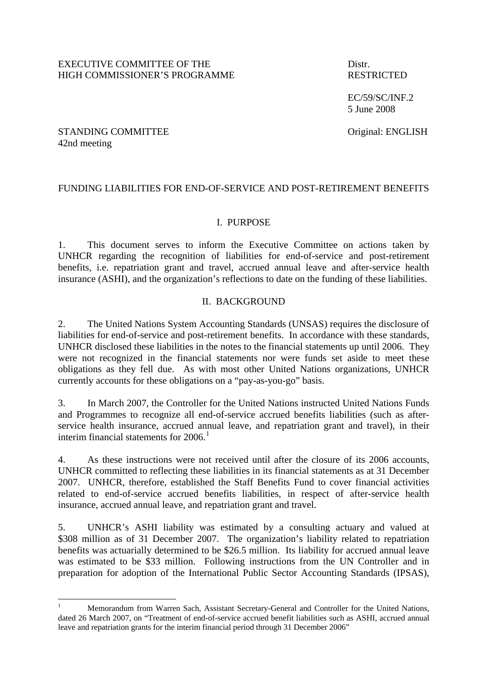EC/59/SC/INF.2 5 June 2008

#### STANDING COMMITTEE Original: ENGLISH 42nd meeting

 $\overline{a}$ 

# FUNDING LIABILITIES FOR END-OF-SERVICE AND POST-RETIREMENT BENEFITS

### I. PURPOSE

1. This document serves to inform the Executive Committee on actions taken by UNHCR regarding the recognition of liabilities for end-of-service and post-retirement benefits, i.e. repatriation grant and travel, accrued annual leave and after-service health insurance (ASHI), and the organization's reflections to date on the funding of these liabilities.

### II. BACKGROUND

2. The United Nations System Accounting Standards (UNSAS) requires the disclosure of liabilities for end-of-service and post-retirement benefits. In accordance with these standards, UNHCR disclosed these liabilities in the notes to the financial statements up until 2006. They were not recognized in the financial statements nor were funds set aside to meet these obligations as they fell due. As with most other United Nations organizations, UNHCR currently accounts for these obligations on a "pay-as-you-go" basis.

3. In March 2007, the Controller for the United Nations instructed United Nations Funds and Programmes to recognize all end-of-service accrued benefits liabilities (such as afterservice health insurance, accrued annual leave, and repatriation grant and travel), in their interim financial statements for  $2006<sup>1</sup>$  $2006<sup>1</sup>$  $2006<sup>1</sup>$ 

4. As these instructions were not received until after the closure of its 2006 accounts, UNHCR committed to reflecting these liabilities in its financial statements as at 31 December 2007. UNHCR, therefore, established the Staff Benefits Fund to cover financial activities related to end-of-service accrued benefits liabilities, in respect of after-service health insurance, accrued annual leave, and repatriation grant and travel.

5. UNHCR's ASHI liability was estimated by a consulting actuary and valued at \$308 million as of 31 December 2007. The organization's liability related to repatriation benefits was actuarially determined to be \$26.5 million. Its liability for accrued annual leave was estimated to be \$33 million. Following instructions from the UN Controller and in preparation for adoption of the International Public Sector Accounting Standards (IPSAS),

<span id="page-0-0"></span><sup>1</sup> Memorandum from Warren Sach, Assistant Secretary-General and Controller for the United Nations, dated 26 March 2007, on "Treatment of end-of-service accrued benefit liabilities such as ASHI, accrued annual leave and repatriation grants for the interim financial period through 31 December 2006"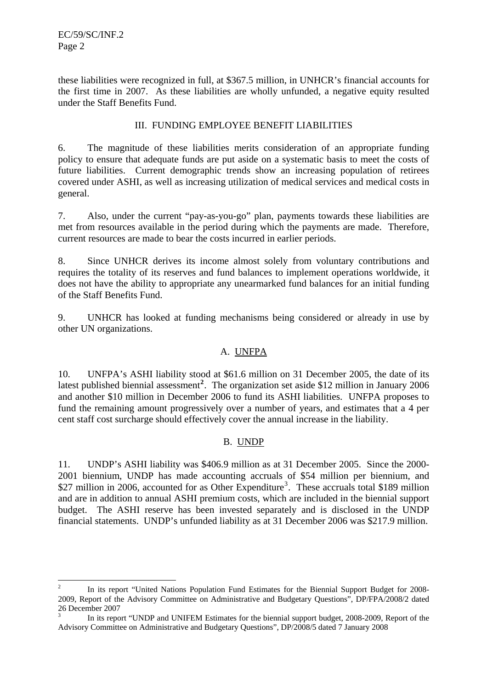$\overline{a}$ 

these liabilities were recognized in full, at \$367.5 million, in UNHCR's financial accounts for the first time in 2007. As these liabilities are wholly unfunded, a negative equity resulted under the Staff Benefits Fund.

### III. FUNDING EMPLOYEE BENEFIT LIABILITIES

6. The magnitude of these liabilities merits consideration of an appropriate funding policy to ensure that adequate funds are put aside on a systematic basis to meet the costs of future liabilities. Current demographic trends show an increasing population of retirees covered under ASHI, as well as increasing utilization of medical services and medical costs in general.

7. Also, under the current "pay-as-you-go" plan, payments towards these liabilities are met from resources available in the period during which the payments are made. Therefore, current resources are made to bear the costs incurred in earlier periods.

8. Since UNHCR derives its income almost solely from voluntary contributions and requires the totality of its reserves and fund balances to implement operations worldwide, it does not have the ability to appropriate any unearmarked fund balances for an initial funding of the Staff Benefits Fund.

9. UNHCR has looked at funding mechanisms being considered or already in use by other UN organizations.

### A. UNFPA

10. UNFPA's ASHI liability stood at \$61.6 million on 31 December 2005, the date of its latest published biennial assessment**[2](#page-1-0)** . The organization set aside \$12 million in January 2006 and another \$10 million in December 2006 to fund its ASHI liabilities. UNFPA proposes to fund the remaining amount progressively over a number of years, and estimates that a 4 per cent staff cost surcharge should effectively cover the annual increase in the liability.

### B. UNDP

11. UNDP's ASHI liability was \$406.9 million as at 31 December 2005. Since the 2000- 2001 biennium, UNDP has made accounting accruals of \$54 million per biennium, and \$27 million in 2006, accounted for as Other Expenditure<sup>[3](#page-1-1)</sup>. These accruals total \$189 million and are in addition to annual ASHI premium costs, which are included in the biennial support budget. The ASHI reserve has been invested separately and is disclosed in the UNDP financial statements. UNDP's unfunded liability as at 31 December 2006 was \$217.9 million.

<span id="page-1-0"></span><sup>2</sup> In its report "United Nations Population Fund Estimates for the Biennial Support Budget for 2008- 2009, Report of the Advisory Committee on Administrative and Budgetary Questions", DP/FPA/2008/2 dated 26 December 2007

<span id="page-1-1"></span><sup>3</sup> In its report "UNDP and UNIFEM Estimates for the biennial support budget, 2008-2009, Report of the Advisory Committee on Administrative and Budgetary Questions", DP/2008/5 dated 7 January 2008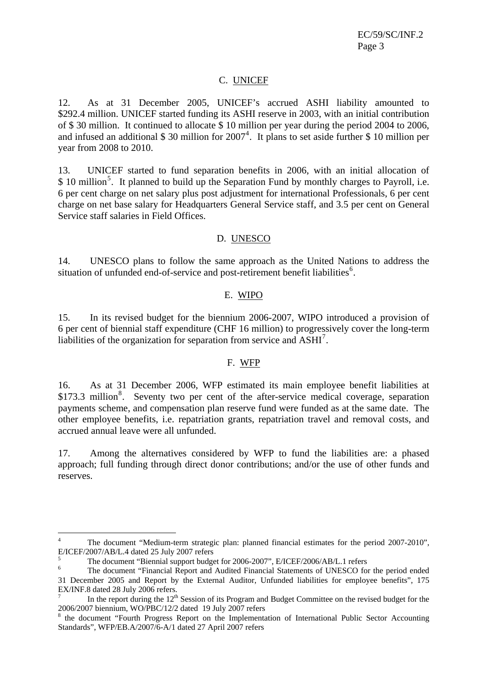EC/59/SC/INF.2 Page 3

#### C. UNICEF

12. As at 31 December 2005, UNICEF's accrued ASHI liability amounted to \$292.4 million. UNICEF started funding its ASHI reserve in 2003, with an initial contribution of \$ 30 million. It continued to allocate \$ 10 million per year during the period 2004 to 2006, and infused an additional \$ 30 million for  $2007<sup>4</sup>$  $2007<sup>4</sup>$  $2007<sup>4</sup>$ . It plans to set aside further \$ 10 million per year from 2008 to 2010.

13. UNICEF started to fund separation benefits in 2006, with an initial allocation of  $$10$  million<sup>[5](#page-2-1)</sup>. It planned to build up the Separation Fund by monthly charges to Payroll, i.e. 6 per cent charge on net salary plus post adjustment for international Professionals, 6 per cent charge on net base salary for Headquarters General Service staff, and 3.5 per cent on General Service staff salaries in Field Offices.

#### D. UNESCO

14. UNESCO plans to follow the same approach as the United Nations to address the situation of unfunded end-of-service and post-retirement benefit liabilities<sup>[6](#page-2-2)</sup>.

#### E. WIPO

15. In its revised budget for the biennium 2006-2007, WIPO introduced a provision of 6 per cent of biennial staff expenditure (CHF 16 million) to progressively cover the long-term liabilities of the organization for separation from service and  $\text{ASHI}^7$  $\text{ASHI}^7$ .

#### F. WFP

16. As at 31 December 2006, WFP estimated its main employee benefit liabilities at \$173.3 million<sup>[8](#page-2-4)</sup>. Seventy two per cent of the after-service medical coverage, separation payments scheme, and compensation plan reserve fund were funded as at the same date. The other employee benefits, i.e. repatriation grants, repatriation travel and removal costs, and accrued annual leave were all unfunded.

17. Among the alternatives considered by WFP to fund the liabilities are: a phased approach; full funding through direct donor contributions; and/or the use of other funds and reserves.

<span id="page-2-0"></span><sup>4</sup> The document "Medium-term strategic plan: planned financial estimates for the period 2007-2010", E/ICEF/2007/AB/L.4 dated 25 July 2007 refers

<sup>5</sup> The document "Biennial support budget for 2006-2007", E/ICEF/2006/AB/L.1 refers

<span id="page-2-2"></span><span id="page-2-1"></span><sup>6</sup> The document "Financial Report and Audited Financial Statements of UNESCO for the period ended 31 December 2005 and Report by the External Auditor, Unfunded liabilities for employee benefits", 175 EX/INF.8 dated 28 July 2006 refers.

<span id="page-2-3"></span><sup>7</sup> In the report during the 12<sup>th</sup> Session of its Program and Budget Committee on the revised budget for the 2006/2007 biennium, WO/PBC/12/2 dated 19 July 2007 refers

<span id="page-2-4"></span><sup>8</sup> the document "Fourth Progress Report on the Implementation of International Public Sector Accounting Standards", WFP/EB.A/2007/6-A/1 dated 27 April 2007 refers